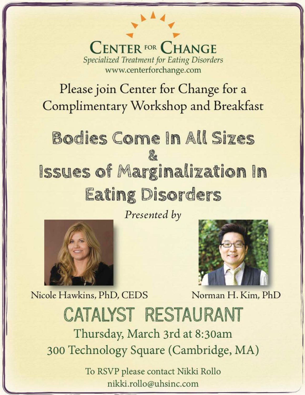#### **CENTER FOR CHANGE Specialized Treatment for Eating Disorders** www.centerforchange.com

## Please join Center for Change for a **Complimentary Workshop and Breakfast**

# Bodies Come In All Sizes **Issues of Marginalization In Eating Disorders**

Presented by



Nicole Hawkins, PhD, CEDS



Norman H. Kim, PhD

## CATALYST RESTAURANT Thursday, March 3rd at 8:30am

300 Technology Square (Cambridge, MA)

To RSVP please contact Nikki Rollo nikki.rollo@uhsinc.com